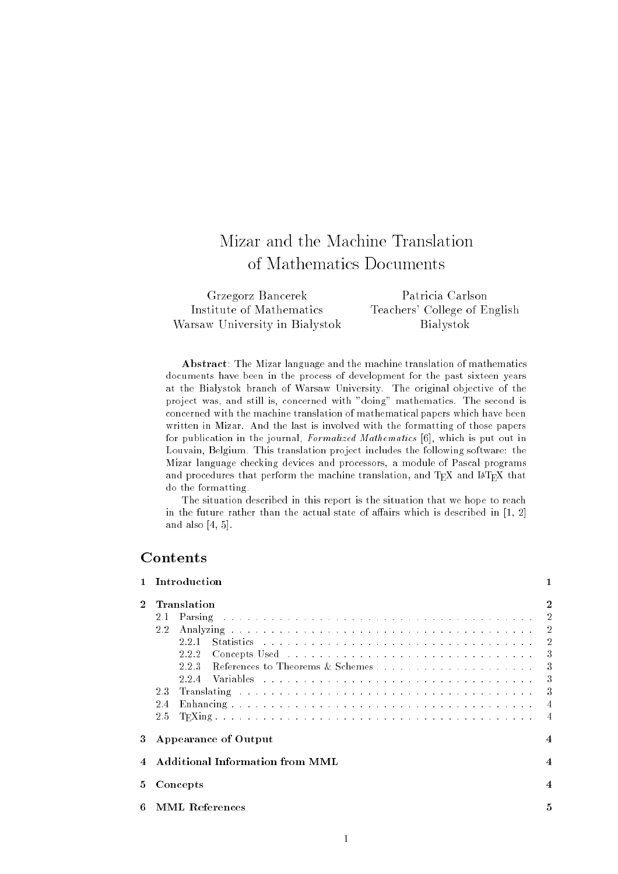# Mizar and the Machine Translation of Mathematics Documents

| Grzegorz Bancerek              | Patricia Carlson             |
|--------------------------------|------------------------------|
| Institute of Mathematics       | Teachers' College of English |
| Warsaw University in Białystok | <b>Bialystok</b>             |

Abstract: The Mizar language and the machine translation of mathematics documents have been in the process of development for the past sixteen years at the Białystok branch of Warsaw University. The original objective of the project was, and still is, concerned with "doing" mathematics. The second is concerned with the machine translation of mathematical papers which have been written in Mizar. And the last is involved with the formatting of those papers for publication in the journal, Formalized Mathematics [6], which is put out in Louvain, Belgium. This translation project includes the following software: the Mizar language checking devices and processors, a module of Pascal programs and procedures that perform the machine translation, and TEX and IATEX that do the formatting.

The situation described in this report is the situation that we hope to reach in the future rather than the actual state of affairs which is described in  $[1, 2]$ and also [4, 5].

## Contents

|    | Introduction                                                                                                                                                                                                                          |                |  |  |
|----|---------------------------------------------------------------------------------------------------------------------------------------------------------------------------------------------------------------------------------------|----------------|--|--|
|    | Translation                                                                                                                                                                                                                           | $\mathbf 2$    |  |  |
|    | Parsing research and contained a series of the containing and containing a series of the containing of the containing of the containing of the containing of the containing of the containing of the containing of the contain<br>2.1 | $\overline{2}$ |  |  |
|    | 2.2                                                                                                                                                                                                                                   | $\overline{2}$ |  |  |
|    |                                                                                                                                                                                                                                       | $\sqrt{2}$     |  |  |
|    | Concepts Used by the contract of the contract of the contract of the contract of the contract of the contract of the contract of the contract of the contract of the contract of the contract of the contract of the contract<br>222  | 3              |  |  |
|    | 223                                                                                                                                                                                                                                   | 3              |  |  |
|    | 224                                                                                                                                                                                                                                   | 3              |  |  |
|    | 23                                                                                                                                                                                                                                    | 3              |  |  |
|    | 2.4                                                                                                                                                                                                                                   |                |  |  |
|    | 2.5                                                                                                                                                                                                                                   | $\overline{4}$ |  |  |
| 3  | <b>Appearance of Output</b>                                                                                                                                                                                                           | 4              |  |  |
|    | Additional Information from MML                                                                                                                                                                                                       | $\overline{4}$ |  |  |
| 5. | Concepts                                                                                                                                                                                                                              |                |  |  |
| 6  | <b>MML</b> References                                                                                                                                                                                                                 | 5              |  |  |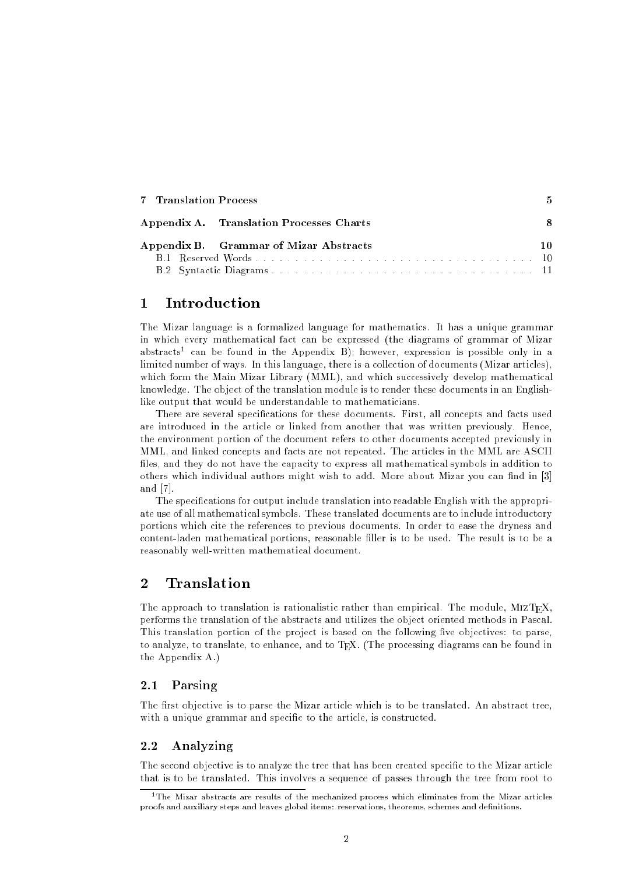| 7 Translation Process                    |  |
|------------------------------------------|--|
| Appendix A. Translation Processes Charts |  |
| Appendix B. Grammar of Mizar Abstracts   |  |
|                                          |  |
| B.2 Syntactic Diagrams.                  |  |

## 1 Introduction

The Mizar language is a formalized language for mathematics. It has a unique grammar in which every mathematical fact can be expressed (the diagrams of grammar of Mizar abstracts" can be found in the Appendix B); however, expression is possible only in a limited number of ways. In this language, there is a collection of documents (Mizar articles), which form the Main Mizar Library (MML), and which successively develop mathematical knowledge. The object of the translation module is to render these documents in an Englishlike output that would be understandable to mathematicians.

There are several specifications for these documents. First, all concepts and facts used are introduced in the article or linked from another that was written previously. Hence, the environment portion of the document refers to other documents accepted previously in MML, and linked concepts and facts are not repeated. The articles in the MML are ASCII files, and they do not have the capacity to express all mathematical symbols in addition to others which individual authors might wish to add. More about Mizar you can find in [3] and [7].

The specications for output include translation into readable English with the appropriate use of all mathematical symbols. These translated documents are to include introductory portions which cite the references to previous documents. In order to ease the dryness and content-laden mathematical portions, reasonable filler is to be used. The result is to be a reasonably well-written mathematical document.

## 2 Translation

The approach to translation is rationalistic rather than empirical. The module, MIZTEX, performs the translation of the abstracts and utilizes the object oriented methods in Pascal. This translation portion of the project is based on the following five objectives: to parse, to analyze, to translate, to enhance, and to TEX. (The processing diagrams can be found in the Appendix A.)

### 2.1 Parsing

The first objective is to parse the Mizar article which is to be translated. An abstract tree, with a unique grammar and specific to the article, is constructed.

#### 2.2 Analyzing

The second objective is to analyze the tree that has been created specific to the Mizar article that is to be translated. This involves a sequence of passes through the tree from root to

<sup>&</sup>lt;sup>1</sup>The Mizar abstracts are results of the mechanized process which eliminates from the Mizar articles proofs and auxiliary steps and leaves global items: reservations, theorems, schemes and definitions.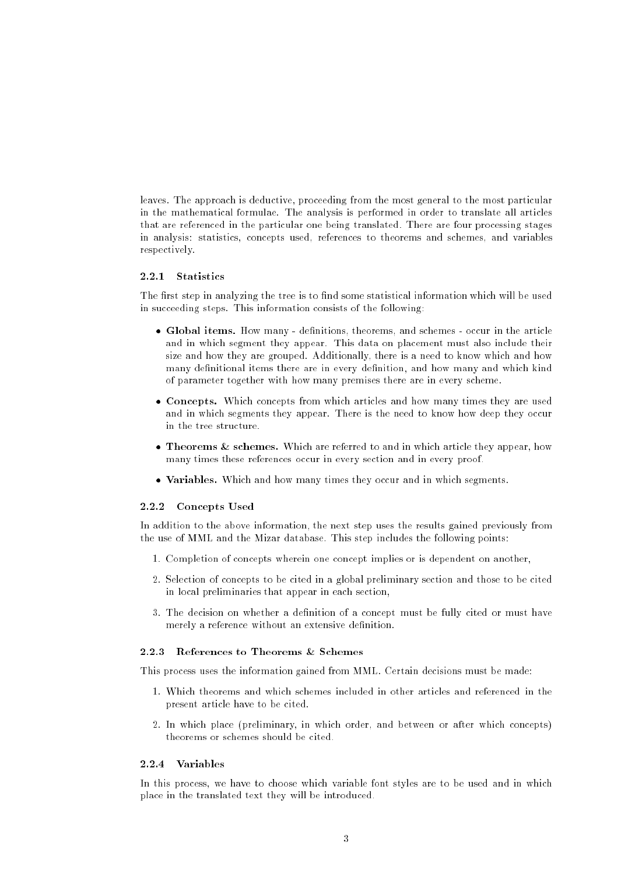leaves. The approach is deductive, proceeding from the most general to the most particular in the mathematical formulae. The analysis is performed in order to translate all articles that are referenced in the particular one being translated. There are four processing stages in analysis: statistics, concepts used, references to theorems and schemes, and variables respectively.

#### 2.2.1 Statistics

The first step in analyzing the tree is to find some statistical information which will be used in succeeding steps. This information consists of the following:

- Global items. How many denitions, theorems, and schemes occur in the article and in which segment they appear. This data on placement must also include their size and how they are grouped. Additionally, there is a need to know which and how many definitional items there are in every definition, and how many and which kind of parameter together with how many premises there are in every scheme.
- Concepts. Which concepts from which articles and how many times they are used and in which segments they appear. There is the need to know how deep they occur in the tree structure.
- Theorems & schemes. Which are referred to and in which article they appear, how many times these references occur in every section and in every proof.
- Variables. Which and how many times they occur and in which segments.

#### 2.2.2 Concepts Used

In addition to the above information, the next step uses the results gained previously from the use of MML and the Mizar database. This step includes the following points:

- 1. Completion of concepts wherein one concept implies or is dependent on another,
- 2. Selection of concepts to be cited in a global preliminary section and those to be cited in local preliminaries that appear in each section,
- 3. The decision on whether a denition of a concept must be fully cited or must have merely a reference without an extensive definition.

#### 2.2.3 References to Theorems & Schemes

This process uses the information gained from MML. Certain decisions must be made:

- 1. Which theorems and which schemes included in other articles and referenced in the present article have to be cited.
- 2. In which place (preliminary, in which order, and between or after which concepts) theorems or schemes should be cited.

#### 2.2.4 Variables

In this process, we have to choose which variable font styles are to be used and in which place in the translated text they will be introduced.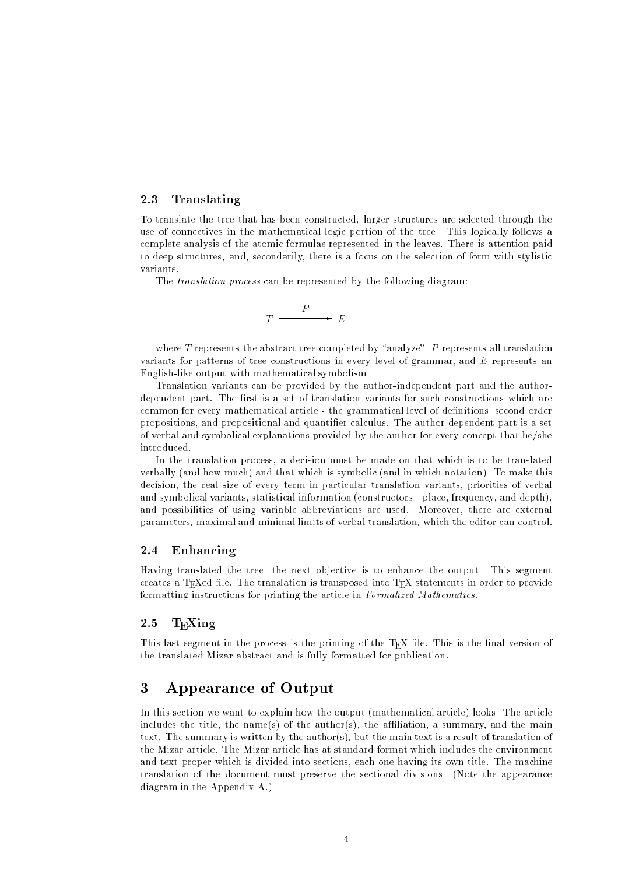### 2.3 Translating

To translate the tree that has been constructed, larger structures are selected through the use of connectives in the mathematical logic portion of the tree. This logically follows a complete analysis of the atomic formulae represented in the leaves. There is attention paid to deep structures, and, secondarily, there is a focus on the selection of form with stylistic variants.

The translation process can be represented by the following diagram:

$$
T \xrightarrow{P} E
$$

where  $T$  represents the abstract tree completed by "analyze",  $P$  represents all translation variants for patterns of tree constructions in every level of grammar, and  $E$  represents an English-like output with mathematical symbolism.

Translation variants can be provided by the author-independent part and the authordependent part. The first is a set of translation variants for such constructions which are common for every mathematical article - the grammatical level of definitions, second order propositions, and propositional and quantifier calculus. The author-dependent part is a set of verbal and symbolical explanations provided by the author for every concept that he/she introduced.

In the translation process, a decision must be made on that which is to be translated verbally (and how much) and that which is symbolic (and in which notation). To make this decision, the real size of every term in particular translation variants, priorities of verbal and symbolical variants, statistical information (constructors - place, frequency, and depth), and possibilities of using variable abbreviations are used. Moreover, there are external parameters, maximal and minimal limits of verbal translation, which the editor can control.

#### 2.4 Enhancing

Having translated the tree, the next objective is to enhance the output. This segment creates a TFXed file. The translation is transposed into TFX statements in order to provide formatting instructions for printing the article in Formalized Mathematics.

#### 2.5  $T_F Xing$

This last segment in the process is the printing of the T<sub>E</sub>X file. This is the final version of the translated Mizar abstract and is fully formatted for publication.

## 3 Appearance of Output

In this section we want to explain how the output (mathematical article) looks. The article includes the title, the name(s) of the author(s), the affiliation, a summary, and the main text. The summary is written by the author(s), but the main text is a result of translation of the Mizar article. The Mizar article has at standard format which includes the environment and text proper which is divided into sections, each one having its own title. The machine translation of the document must preserve the sectional divisions. (Note the appearance diagram in the Appendix A.)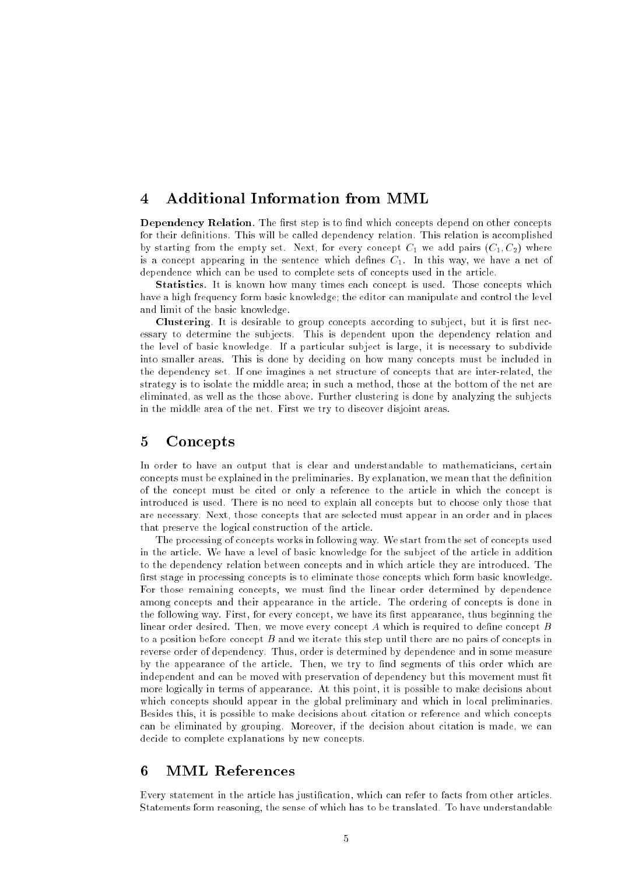## 4 Additional Information from MML

**Dependency Relation**. The first step is to find which concepts depend on other concepts for their definitions. This will be called dependency relation. This relation is accomplished by starting from the empty set. Next, for every concept  $C_1$  we add pairs  $(C_1, C_2)$  where is a concept appearing in the sentence which defines  $C_1$ . In this way, we have a net of dependence which can be used to complete sets of concepts used in the article.

Statistics. It is known how many times each concept is used. Those concepts which have a high frequency form basic knowledge; the editor can manipulate and control the level and limit of the basic knowledge.

Clustering. It is desirable to group concepts according to subject, but it is first necessary to determine the subjects. This is dependent upon the dependency relation and the level of basic knowledge. If a particular subject is large, it is necessary to subdivide into smaller areas. This is done by deciding on how many concepts must be included in the dependency set. If one imagines a net structure of concepts that are inter-related, the strategy is to isolate the middle area; in such a method, those at the bottom of the net are eliminated, as well as the those above. Further clustering is done by analyzing the subjects in the middle area of the net. First we try to discover disjoint areas.

## 5 Concepts

In order to have an output that is clear and understandable to mathematicians, certain concepts must be explained in the preliminaries. By explanation, we mean that the definition of the concept must be cited or only a reference to the article in which the concept is introduced is used. There is no need to explain all concepts but to choose only those that are necessary. Next, those concepts that are selected must appear in an order and in places that preserve the logical construction of the article.

The processing of concepts works in following way. We start from the set of concepts used in the article. We have a level of basic knowledge for the subject of the article in addition to the dependency relation between concepts and in which article they are introduced. The first stage in processing concepts is to eliminate those concepts which form basic knowledge. For those remaining concepts, we must find the linear order determined by dependence among concepts and their appearance in the article. The ordering of concepts is done in the following way. First, for every concept, we have its first appearance, thus beginning the linear order desired. Then, we move every concept  $A$  which is required to define concept  $B$ to a position before concept B and we iterate this step until there are no pairs of concepts in reverse order of dependency. Thus, order is determined by dependence and in some measure by the appearance of the article. Then, we try to find segments of this order which are independent and can be moved with preservation of dependency but this movement must fit more logically in terms of appearance. At this point, it is possible to make decisions about which concepts should appear in the global preliminary and which in local preliminaries. Besides this, it is possible to make decisions about citation or reference and which concepts can be eliminated by grouping. Moreover, if the decision about citation is made, we can decide to complete explanations by new concepts.

## 6 MML References

Every statement in the article has justication, which can refer to facts from other articles. Statements form reasoning, the sense of which has to be translated. To have understandable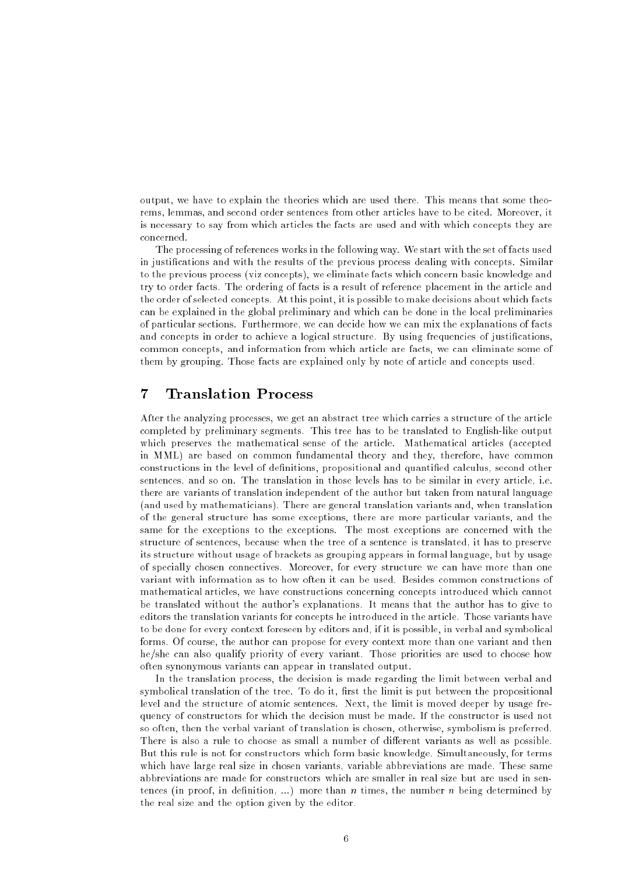output, we have to explain the theories which are used there. This means that some theorems, lemmas, and second order sentences from other articles have to be cited. Moreover, it is necessary to say from which articles the facts are used and with which concepts they are concerned.

The processing of references works in the following way. We start with the set of facts used in justications and with the results of the previous process dealing with concepts. Similar to the previous process (viz concepts), we eliminate facts which concern basic knowledge and try to order facts. The ordering of facts is a result of reference placement in the article and the order of selected concepts. At this point, it is possible to make decisions about which facts can be explained in the global preliminary and which can be done in the local preliminaries of particular sections. Furthermore, we can decide how we can mix the explanations of facts and concepts in order to achieve a logical structure. By using frequencies of justifications, common concepts, and information from which article are facts, we can eliminate some of them by grouping. Those facts are explained only by note of article and concepts used.

## 7 Translation Process

After the analyzing processes, we get an abstract tree which carries a structure of the article completed by preliminary segments. This tree has to be translated to English-like output which preserves the mathematical sense of the article. Mathematical articles (accepted in MML) are based on common fundamental theory and they, therefore, have common constructions in the level of definitions, propositional and quantified calculus, second other sentences, and so on. The translation in those levels has to be similar in every article, i.e. there are variants of translation independent of the author but taken from natural language (and used by mathematicians). There are general translation variants and, when translation of the general structure has some exceptions, there are more particular variants, and the same for the exceptions to the exceptions. The most exceptions are concerned with the structure of sentences, because when the tree of a sentence is translated, it has to preserve its structure without usage of brackets as grouping appears in formal language, but by usage of specially chosen connectives. Moreover, for every structure we can have more than one variant with information as to how often it can be used. Besides common constructions of mathematical articles, we have constructions concerning concepts introduced which cannot be translated without the author's explanations. It means that the author has to give to editors the translation variants for concepts he introduced in the article. Those variants have to be done for every context foreseen by editors and, if it is possible, in verbal and symbolical forms. Of course, the author can propose for every context more than one variant and then he/she can also qualify priority of every variant. Those priorities are used to choose how often synonymous variants can appear in translated output.

In the translation process, the decision is made regarding the limit between verbal and symbolical translation of the tree. To do it, first the limit is put between the propositional level and the structure of atomic sentences. Next, the limit is moved deeper by usage frequency of constructors for which the decision must be made. If the constructor is used not so often, then the verbal variant of translation is chosen, otherwise, symbolism is preferred. There is also a rule to choose as small a number of different variants as well as possible. But this rule is not for constructors which form basic knowledge. Simultaneously, for terms which have large real size in chosen variants, variable abbreviations are made. These same abbreviations are made for constructors which are smaller in real size but are used in sentences (in proof, in definition, ...) more than n times, the number n being determined by the real size and the option given by the editor.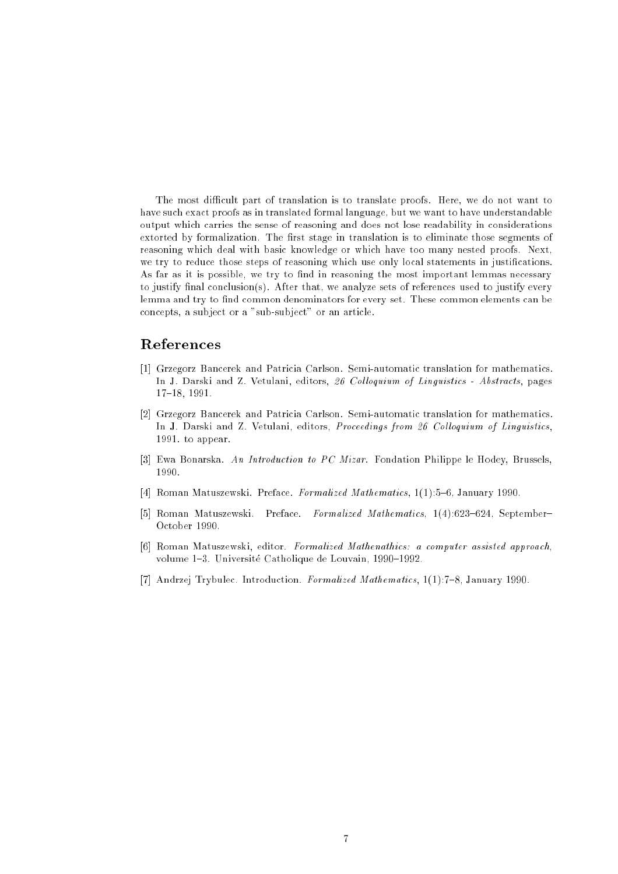The most difficult part of translation is to translate proofs. Here, we do not want to have such exact proofs as in translated formal language, but we want to have understandable output which carries the sense of reasoning and does not lose readability in considerations extorted by formalization. The first stage in translation is to eliminate those segments of reasoning which deal with basic knowledge or which have too many nested proofs. Next, we try to reduce those steps of reasoning which use only local statements in justifications. As far as it is possible, we try to find in reasoning the most important lemmas necessary to justify final conclusion(s). After that, we analyze sets of references used to justify every lemma and try to find common denominators for every set. These common elements can be concepts, a subject or a "sub-subject" or an article.

## References

- [1] Grzegorz Bancerek and Patricia Carlson. Semi-automatic translation for mathematics. In J. Darski and Z. Vetulani, editors, 26 Colloquium of Linguistics - Abstracts, pages 17{18, 1991.
- [2] Grzegorz Bancerek and Patricia Carlson. Semi-automatic translation for mathematics. In J. Darski and Z. Vetulani, editors, Proceedings from 26 Colloquium of Linguistics, 1991. to appear.
- [3] Ewa Bonarska. An Introduction to PC Mizar. Fondation Philippe le Hodey, Brussels, 1990.
- [4] Roman Matuszewski. Preface. Formalized Mathematics, 1(1):5-6, January 1990.
- [5] Roman Matuszewski. Preface. Formalized Mathematics, 1(4):623-624, September-October 1990.
- [6] Roman Matuszewski, editor. Formalized Mathenathics: a computer assisted approach, volume 1-3. Université Catholique de Louvain, 1990-1992.
- [7] Andrzej Trybulec. Introduction. Formalized Mathematics, 1(1):7-8, January 1990.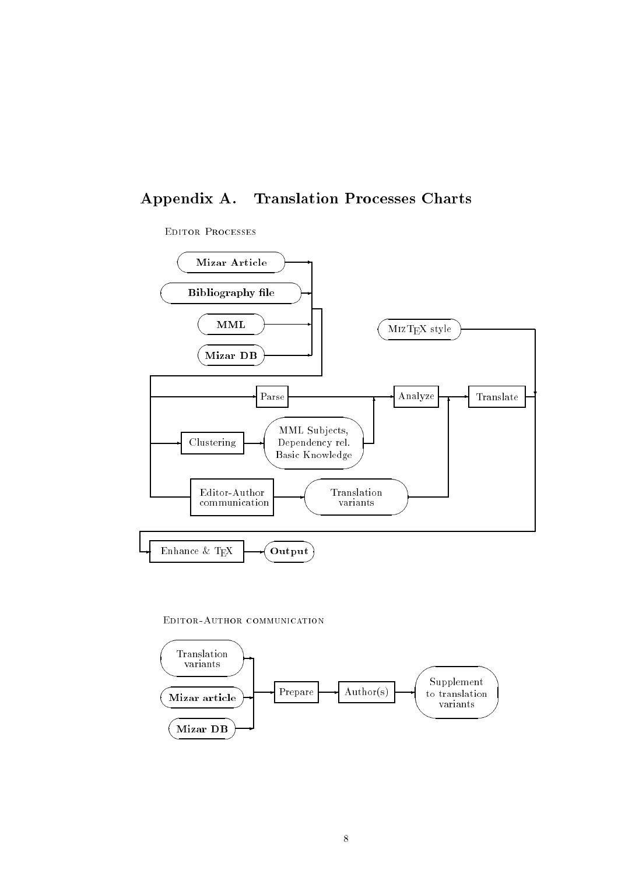## Appendix A. Translation Processes Charts

### Editor Processes



Editor-Author communication

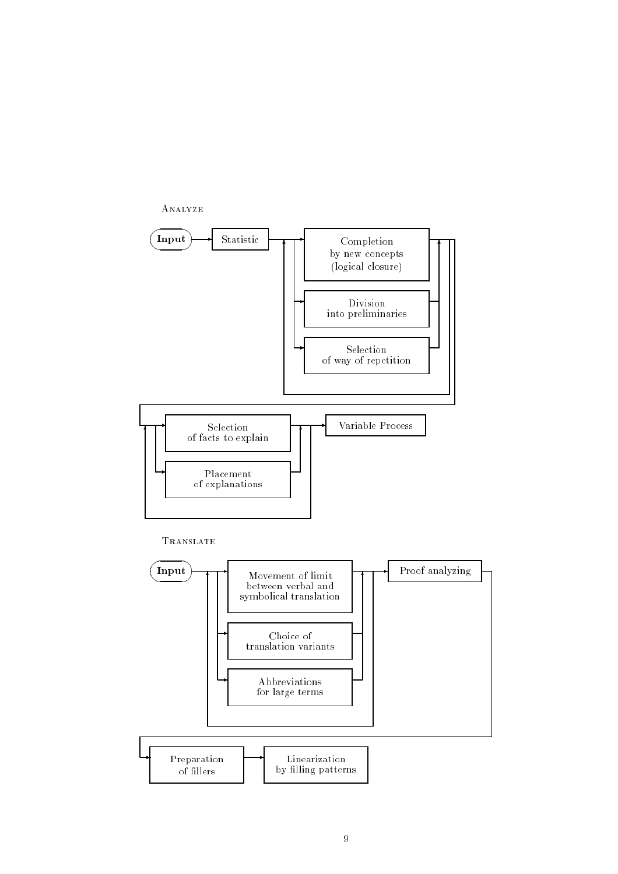

### **TRANSLATE**

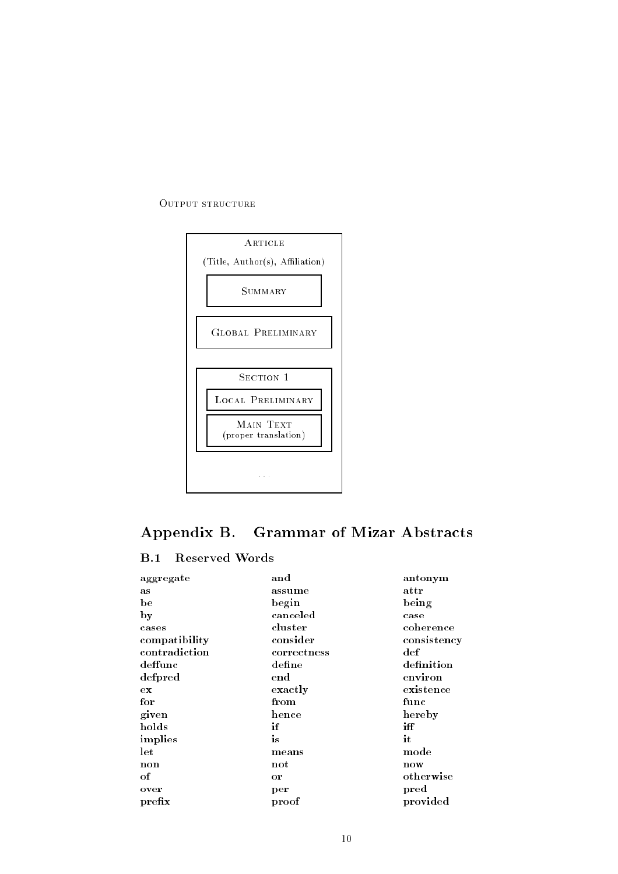#### OUTPUT STRUCTURE



# Appendix B. Grammar of Mizar Abstracts

## B.1 Reserved Words

| aggregate     | and               | antonym              |
|---------------|-------------------|----------------------|
| as            | assume            | attr                 |
| be            | begin             | being                |
| by            | canceled          | case                 |
| cases         | cluster           | coherence            |
| compatibility | consider          | consistency          |
| contradiction | correctness       | $\operatorname{def}$ |
| deffunc       | $\bold{define}$   | definition           |
| defpred       | $_{\mathrm{end}}$ | environ              |
| ex            | exactly           | existence            |
| for           | from              | func                 |
| given         | hence             | hereby               |
| holds         | if                | iff                  |
| implies       | is                | it                   |
| let           | means             | $\bold{mode}$        |
| non           | $\mathbf{not}$    | now                  |
| $\alpha$      | or                | otherwise            |
| over          | per               | pred                 |
| prefix        | proof             | provided             |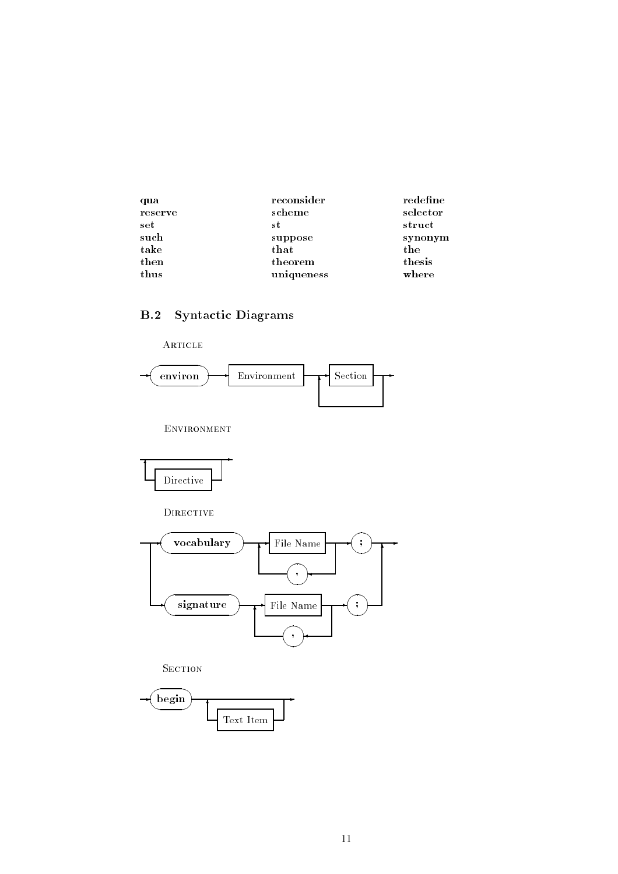| qua     | reconsider | redefine |
|---------|------------|----------|
| reserve | scheme     | selector |
| set     | s t        | struct   |
| such    | suppose    | synonym  |
| take    | that       | the      |
| then    | theorem    | thesis   |
| thus    | uniqueness | where    |

## B.2 Syntactic Diagrams



ENVIRONMENT



DIRECTIVE



**SECTION** 

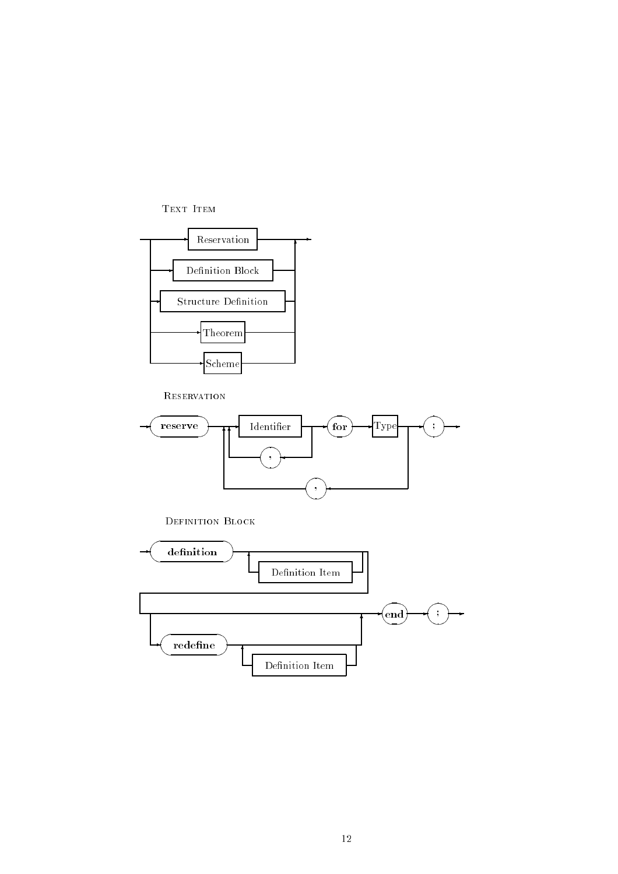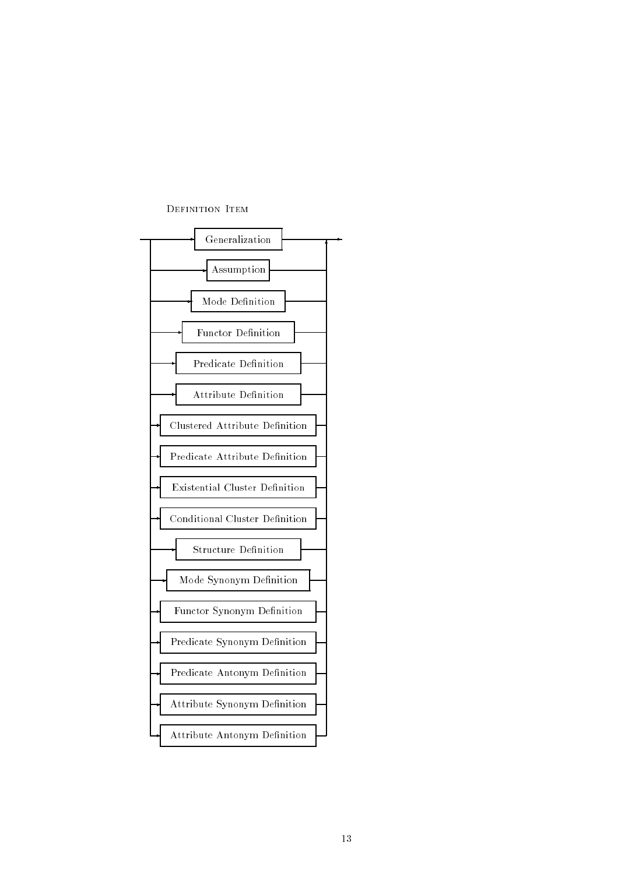

#### DEFINITION ITEM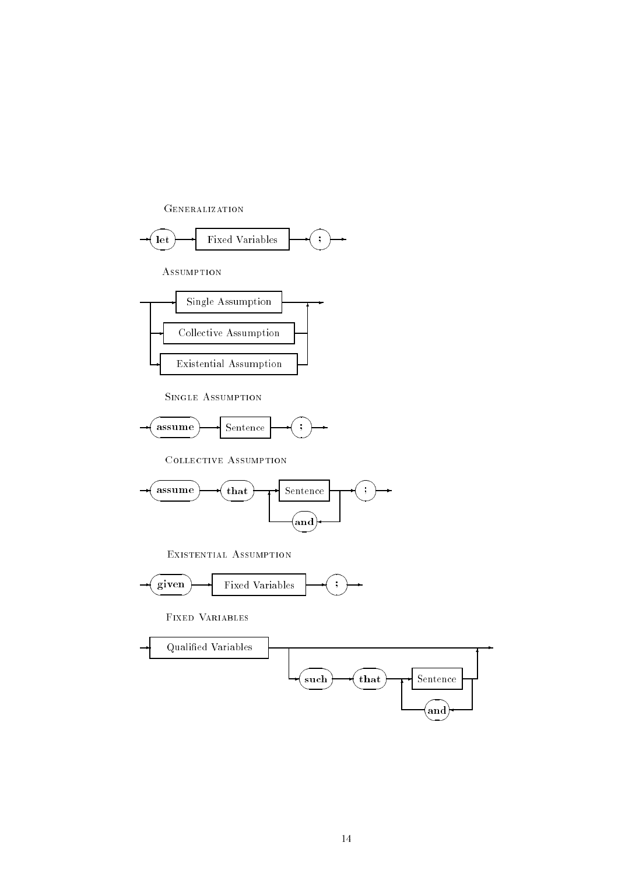



Assumption



Single Assumption



Collective Assumption



Existential Assumption



Fixed Variables

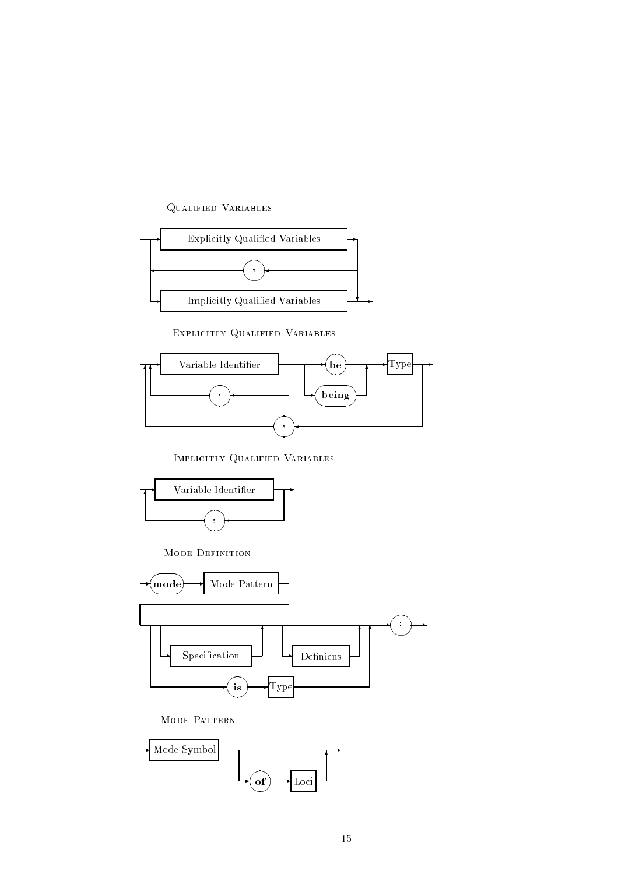### Qualified Variables



Explicitly Qualified Variables



Implicitly Qualified Variables



MODE DEFINITION



MODE PATTERN

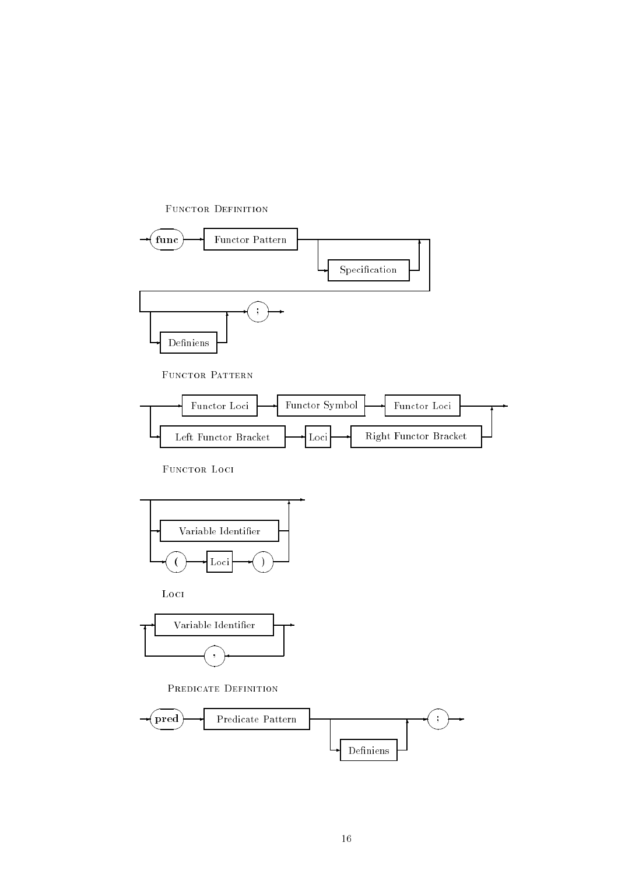

FUNCTOR PATTERN



FUNCTOR LOCI

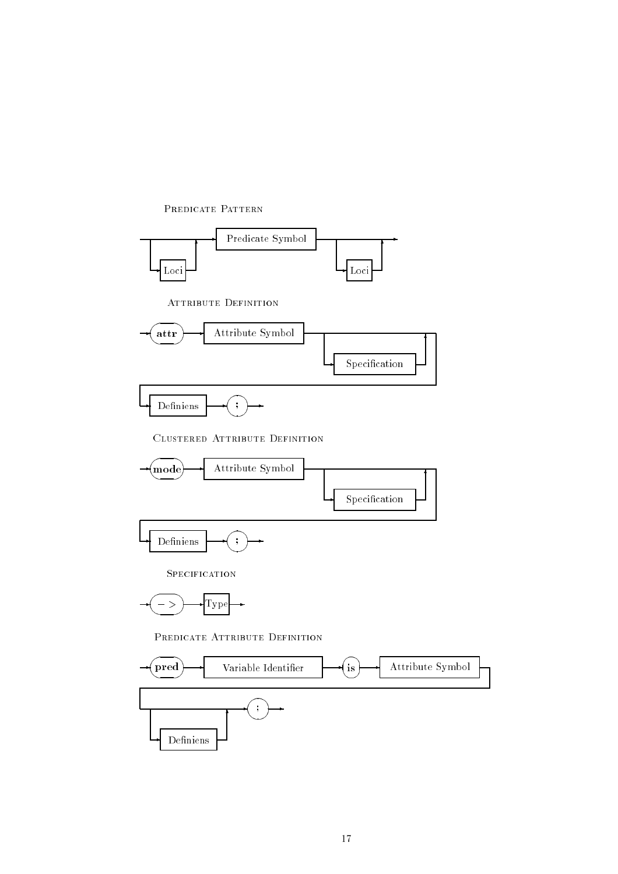

#### PREDICATE PATTERN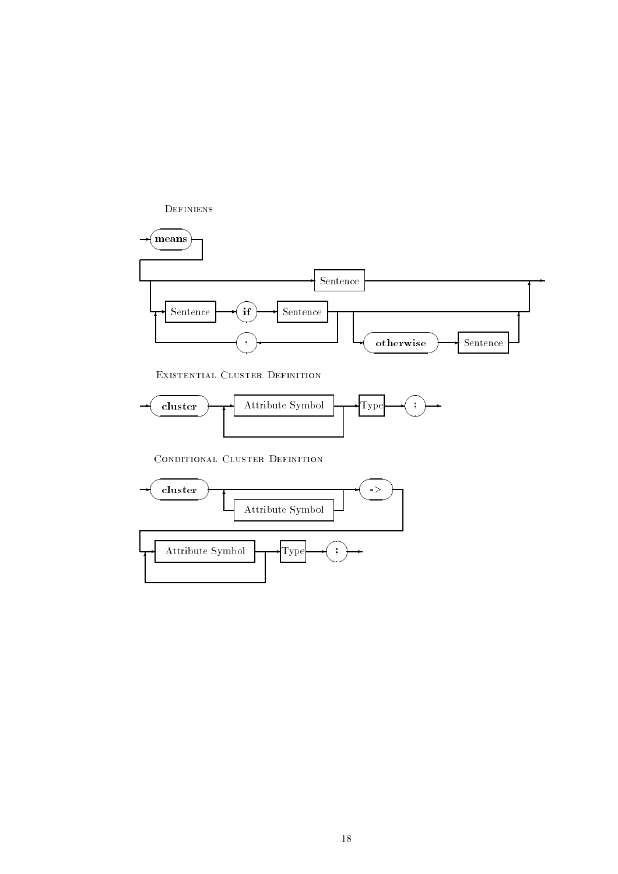

CONDITIONAL CLUSTER DEFINITION

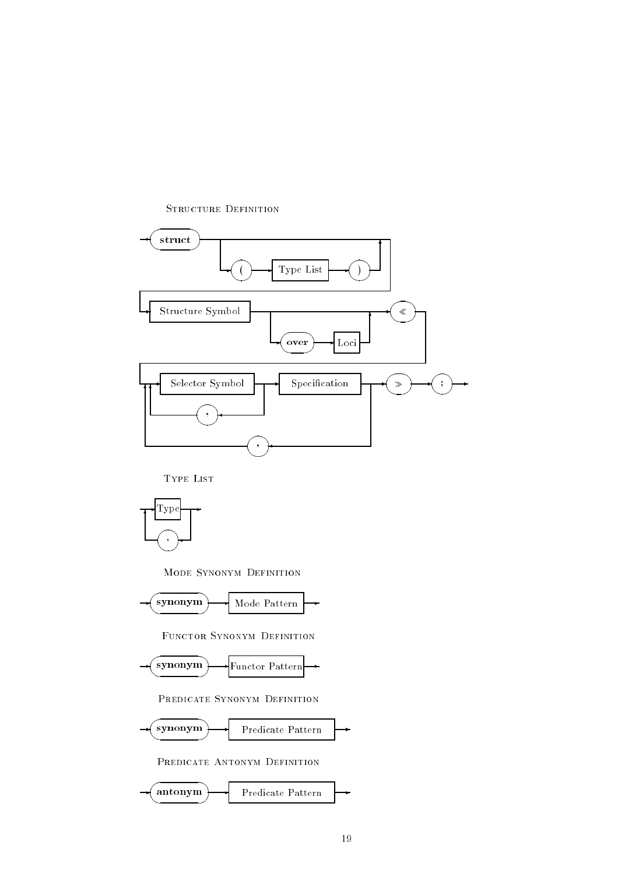

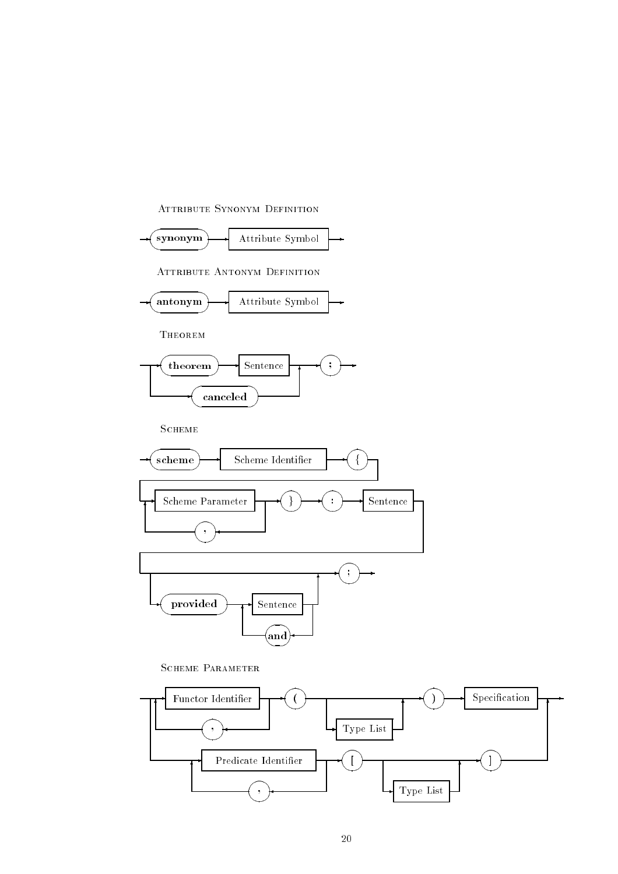

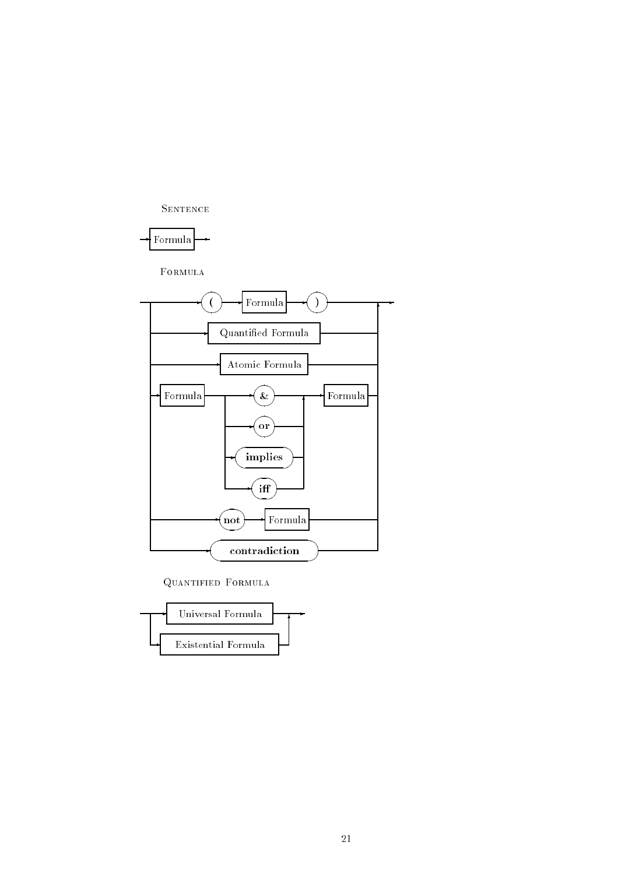



FORMULA



Quantified Formula

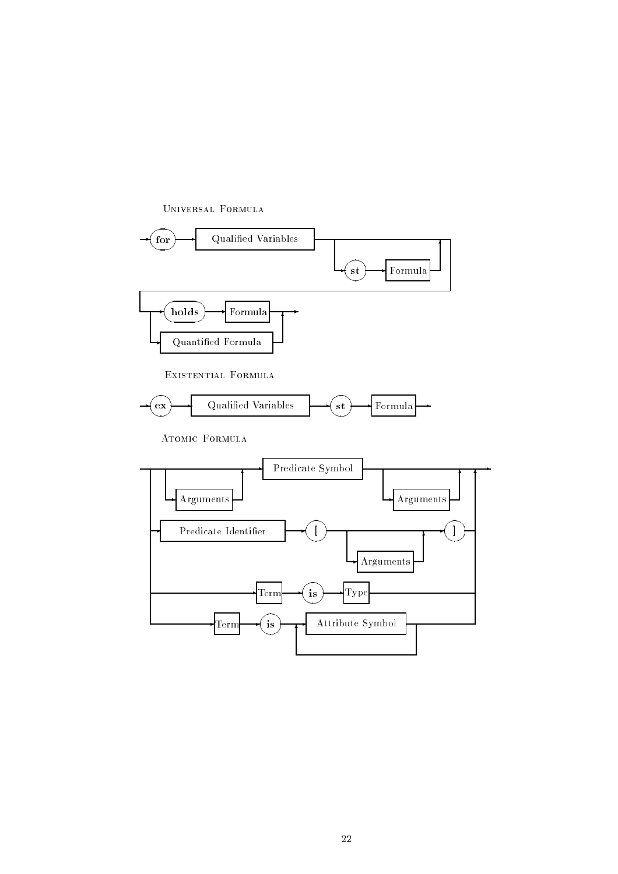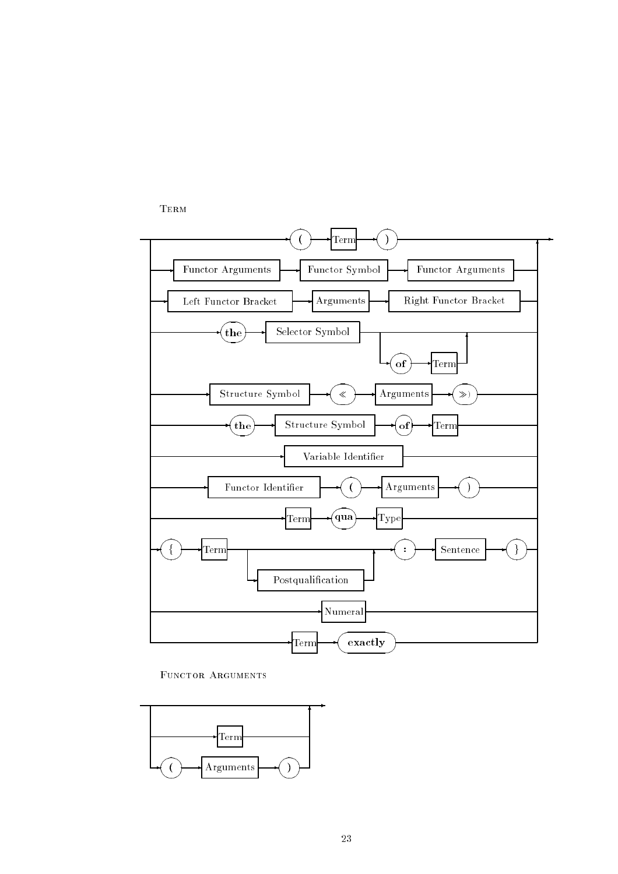Term



FUNCTOR ARGUMENTS